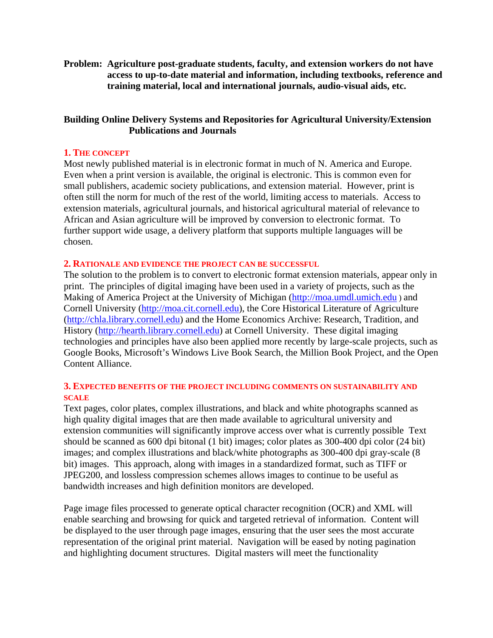**Problem: Agriculture post-graduate students, faculty, and extension workers do not have access to up-to-date material and information, including textbooks, reference and training material, local and international journals, audio-visual aids, etc.** 

# **Building Online Delivery Systems and Repositories for Agricultural University/Extension Publications and Journals**

### **1. THE CONCEPT**

Most newly published material is in electronic format in much of N. America and Europe. Even when a print version is available, the original is electronic. This is common even for small publishers, academic society publications, and extension material. However, print is often still the norm for much of the rest of the world, limiting access to materials. Access to extension materials, agricultural journals, and historical agricultural material of relevance to African and Asian agriculture will be improved by conversion to electronic format. To further support wide usage, a delivery platform that supports multiple languages will be chosen.

#### **2. RATIONALE AND EVIDENCE THE PROJECT CAN BE SUCCESSFUL**

The solution to the problem is to convert to electronic format extension materials, appear only in print. The principles of digital imaging have been used in a variety of projects, such as the Making of America Project at the University of Michigan (http://moa.umdl.umich.edu ) and Cornell University (http://moa.cit.cornell.edu), the Core Historical Literature of Agriculture (http://chla.library.cornell.edu) and the Home Economics Archive: Research, Tradition, and History (http://hearth.library.cornell.edu) at Cornell University. These digital imaging technologies and principles have also been applied more recently by large-scale projects, such as Google Books, Microsoft's Windows Live Book Search, the Million Book Project, and the Open Content Alliance.

## **3. EXPECTED BENEFITS OF THE PROJECT INCLUDING COMMENTS ON SUSTAINABILITY AND SCALE**

Text pages, color plates, complex illustrations, and black and white photographs scanned as high quality digital images that are then made available to agricultural university and extension communities will significantly improve access over what is currently possible Text should be scanned as 600 dpi bitonal (1 bit) images; color plates as 300-400 dpi color (24 bit) images; and complex illustrations and black/white photographs as 300-400 dpi gray-scale (8 bit) images. This approach, along with images in a standardized format, such as TIFF or JPEG200, and lossless compression schemes allows images to continue to be useful as bandwidth increases and high definition monitors are developed.

Page image files processed to generate optical character recognition (OCR) and XML will enable searching and browsing for quick and targeted retrieval of information. Content will be displayed to the user through page images, ensuring that the user sees the most accurate representation of the original print material. Navigation will be eased by noting pagination and highlighting document structures. Digital masters will meet the functionality